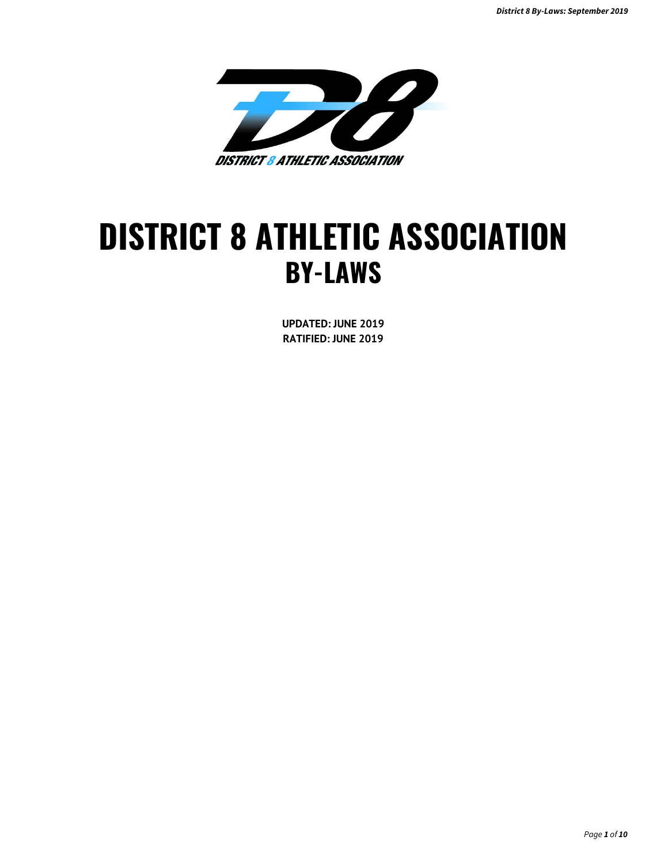

# **DISTRICT 8 ATHLETIC ASSOCIATION BY-LAWS**

**UPDATED: JUNE 2019 RATIFIED: JUNE 2019**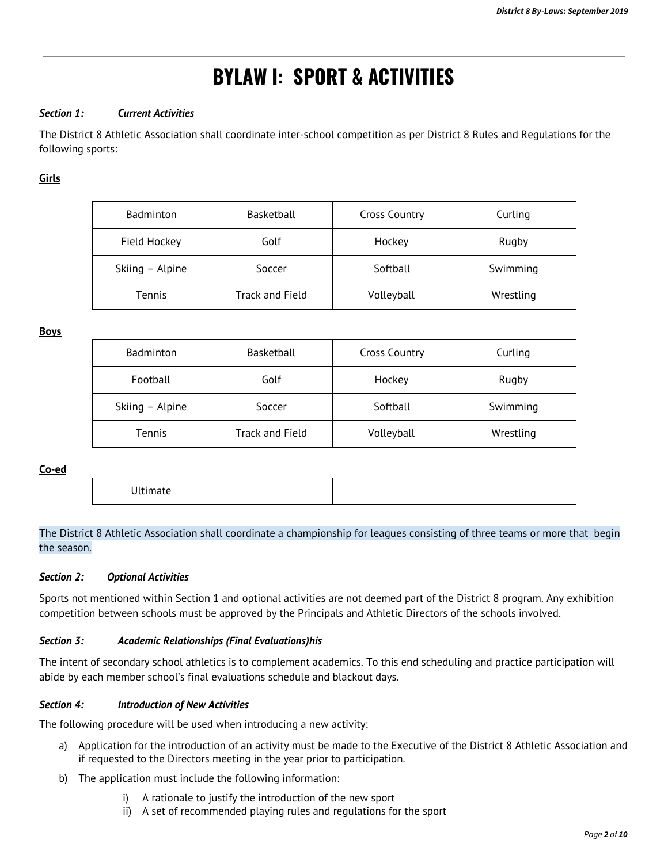# **BYLAW I: SPORT & ACTIVITIES**

#### *Section 1: Current Activities*

The District 8 Athletic Association shall coordinate inter-school competition as per District 8 Rules and Regulations for the following sports:

**Girls**

| <b>Badminton</b> | Basketball      | <b>Cross Country</b> | Curling   |
|------------------|-----------------|----------------------|-----------|
| Field Hockey     | Golf            | Hockey               | Rugby     |
| Skiing - Alpine  | Soccer          | Softball             | Swimming  |
| Tennis           | Track and Field | Volleyball           | Wrestling |

**Boys**

| Badminton       | Basketball      | <b>Cross Country</b> | Curling   |
|-----------------|-----------------|----------------------|-----------|
| Football        | Golf            | Hockey               | Rugby     |
| Skiing - Alpine | Soccer          | Softball             | Swimming  |
| <b>Tennis</b>   | Track and Field | Volleyball           | Wrestling |

**Co-ed**

|--|

### The District 8 Athletic Association shall coordinate a championship for leagues consisting of three teams or more that begin the season.

#### *Section 2: Optional Activities*

Sports not mentioned within Section 1 and optional activities are not deemed part of the District 8 program. Any exhibition competition between schools must be approved by the Principals and Athletic Directors of the schools involved.

#### *Section 3: Academic Relationships (Final Evaluations)his*

The intent of secondary school athletics is to complement academics. To this end scheduling and practice participation will abide by each member school's final evaluations schedule and blackout days.

#### *Section 4: Introduction of New Activities*

The following procedure will be used when introducing a new activity:

- a) Application for the introduction of an activity must be made to the Executive of the District 8 Athletic Association and if requested to the Directors meeting in the year prior to participation.
- b) The application must include the following information:
	- i) A rationale to justify the introduction of the new sport
	- ii) A set of recommended playing rules and regulations for the sport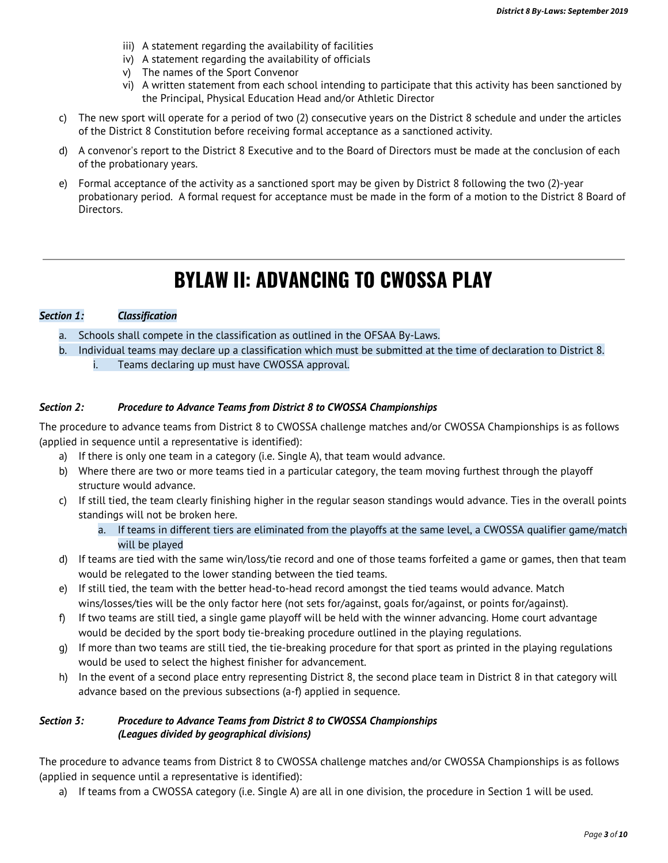- iii) A statement regarding the availability of facilities
- iv) A statement regarding the availability of officials
- v) The names of the Sport Convenor
- vi) A written statement from each school intending to participate that this activity has been sanctioned by the Principal, Physical Education Head and/or Athletic Director
- c) The new sport will operate for a period of two (2) consecutive years on the District 8 schedule and under the articles of the District 8 Constitution before receiving formal acceptance as a sanctioned activity.
- d) A convenor's report to the District 8 Executive and to the Board of Directors must be made at the conclusion of each of the probationary years.
- e) Formal acceptance of the activity as a sanctioned sport may be given by District 8 following the two (2)-year probationary period. A formal request for acceptance must be made in the form of a motion to the District 8 Board of Directors.

# **BYLAW II: ADVANCING TO CWOSSA PLAY**

### *Section 1: Classification*

- a. Schools shall compete in the classification as outlined in the OFSAA By-Laws.
- b. Individual teams may declare up a classification which must be submitted at the time of declaration to District 8. i. Teams declaring up must have CWOSSA approval.

#### *Section 2: Procedure to Advance Teams from District 8 to CWOSSA Championships*

The procedure to advance teams from District 8 to CWOSSA challenge matches and/or CWOSSA Championships is as follows (applied in sequence until a representative is identified):

- a) If there is only one team in a category (i.e. Single A), that team would advance.
- b) Where there are two or more teams tied in a particular category, the team moving furthest through the playoff structure would advance.
- c) If still tied, the team clearly finishing higher in the regular season standings would advance. Ties in the overall points standings will not be broken here.
	- a. If teams in different tiers are eliminated from the playoffs at the same level, a CWOSSA qualifier game/match will be played
- d) If teams are tied with the same win/loss/tie record and one of those teams forfeited a game or games, then that team would be relegated to the lower standing between the tied teams.
- e) If still tied, the team with the better head-to-head record amongst the tied teams would advance. Match wins/losses/ties will be the only factor here (not sets for/against, goals for/against, or points for/against).
- f) If two teams are still tied, a single game playoff will be held with the winner advancing. Home court advantage would be decided by the sport body tie-breaking procedure outlined in the playing regulations.
- g) If more than two teams are still tied, the tie-breaking procedure for that sport as printed in the playing regulations would be used to select the highest finisher for advancement.
- h) In the event of a second place entry representing District 8, the second place team in District 8 in that category will advance based on the previous subsections (a-f) applied in sequence.

#### *Section 3: Procedure to Advance Teams from District 8 to CWOSSA Championships (Leagues divided by geographical divisions)*

The procedure to advance teams from District 8 to CWOSSA challenge matches and/or CWOSSA Championships is as follows (applied in sequence until a representative is identified):

a) If teams from a CWOSSA category (i.e. Single A) are all in one division, the procedure in Section 1 will be used.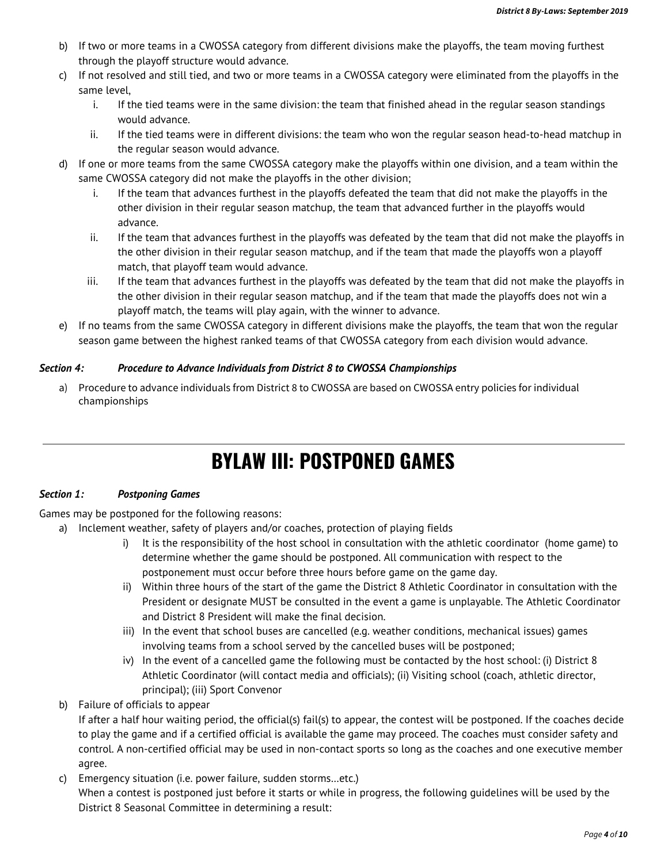- b) If two or more teams in a CWOSSA category from different divisions make the playoffs, the team moving furthest through the playoff structure would advance.
- c) If not resolved and still tied, and two or more teams in a CWOSSA category were eliminated from the playoffs in the same level,
	- i. If the tied teams were in the same division: the team that finished ahead in the regular season standings would advance.
	- ii. If the tied teams were in different divisions: the team who won the regular season head-to-head matchup in the regular season would advance.
- d) If one or more teams from the same CWOSSA category make the playoffs within one division, and a team within the same CWOSSA category did not make the playoffs in the other division;
	- i. If the team that advances furthest in the playoffs defeated the team that did not make the playoffs in the other division in their regular season matchup, the team that advanced further in the playoffs would advance.
	- ii. If the team that advances furthest in the playoffs was defeated by the team that did not make the playoffs in the other division in their regular season matchup, and if the team that made the playoffs won a playoff match, that playoff team would advance.
	- iii. If the team that advances furthest in the playoffs was defeated by the team that did not make the playoffs in the other division in their regular season matchup, and if the team that made the playoffs does not win a playoff match, the teams will play again, with the winner to advance.
- e) If no teams from the same CWOSSA category in different divisions make the playoffs, the team that won the regular season game between the highest ranked teams of that CWOSSA category from each division would advance.

### *Section 4: Procedure to Advance Individuals from District 8 to CWOSSA Championships*

a) Procedure to advance individuals from District 8 to CWOSSA are based on CWOSSA entry policies for individual championships

# **BYLAW III: POSTPONED GAMES**

### *Section 1: Postponing Games*

Games may be postponed for the following reasons:

- a) Inclement weather, safety of players and/or coaches, protection of playing fields
	- i) It is the responsibility of the host school in consultation with the athletic coordinator (home game) to determine whether the game should be postponed. All communication with respect to the postponement must occur before three hours before game on the game day.
	- ii) Within three hours of the start of the game the District 8 Athletic Coordinator in consultation with the President or designate MUST be consulted in the event a game is unplayable. The Athletic Coordinator and District 8 President will make the final decision.
	- iii) In the event that school buses are cancelled (e.g. weather conditions, mechanical issues) games involving teams from a school served by the cancelled buses will be postponed;
	- iv) In the event of a cancelled game the following must be contacted by the host school: (i) District 8 Athletic Coordinator (will contact media and officials); (ii) Visiting school (coach, athletic director, principal); (iii) Sport Convenor
- b) Failure of officials to appear

If after a half hour waiting period, the official(s) fail(s) to appear, the contest will be postponed. If the coaches decide to play the game and if a certified official is available the game may proceed. The coaches must consider safety and control. A non-certified official may be used in non-contact sports so long as the coaches and one executive member agree.

c) Emergency situation (i.e. power failure, sudden storms…etc.) When a contest is postponed just before it starts or while in progress, the following guidelines will be used by the District 8 Seasonal Committee in determining a result: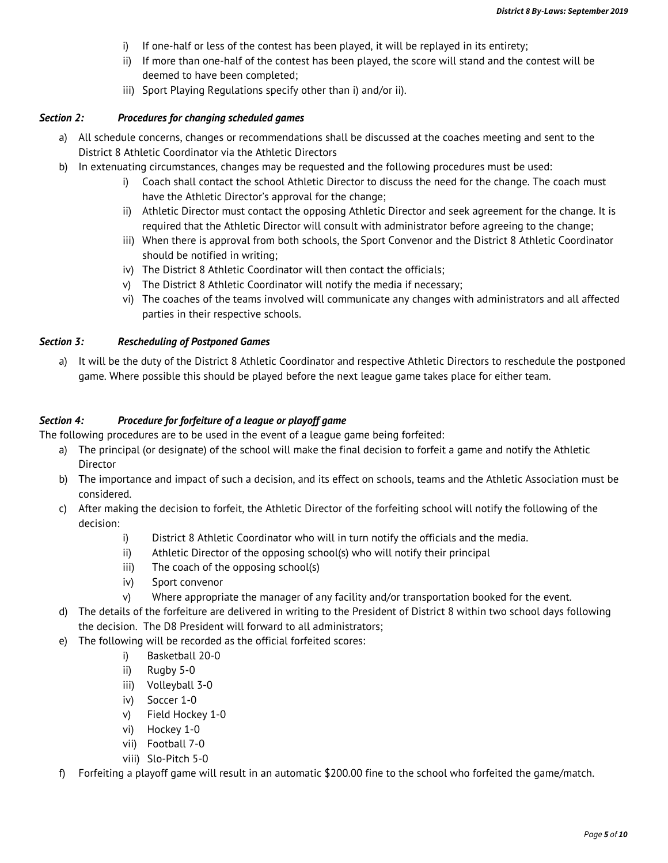- i) If one-half or less of the contest has been played, it will be replayed in its entirety;
- ii) If more than one-half of the contest has been played, the score will stand and the contest will be deemed to have been completed;
- iii) Sport Playing Regulations specify other than i) and/or ii).

#### *Section 2: Procedures for changing scheduled games*

- a) All schedule concerns, changes or recommendations shall be discussed at the coaches meeting and sent to the District 8 Athletic Coordinator via the Athletic Directors
- b) In extenuating circumstances, changes may be requested and the following procedures must be used:
	- i) Coach shall contact the school Athletic Director to discuss the need for the change. The coach must have the Athletic Director's approval for the change;
	- ii) Athletic Director must contact the opposing Athletic Director and seek agreement for the change. It is required that the Athletic Director will consult with administrator before agreeing to the change;
	- iii) When there is approval from both schools, the Sport Convenor and the District 8 Athletic Coordinator should be notified in writing;
	- iv) The District 8 Athletic Coordinator will then contact the officials;
	- v) The District 8 Athletic Coordinator will notify the media if necessary;
	- vi) The coaches of the teams involved will communicate any changes with administrators and all affected parties in their respective schools.

#### *Section 3: Rescheduling of Postponed Games*

a) It will be the duty of the District 8 Athletic Coordinator and respective Athletic Directors to reschedule the postponed game. Where possible this should be played before the next league game takes place for either team.

#### *Section 4: Procedure for forfeiture of a league or playoff game*

The following procedures are to be used in the event of a league game being forfeited:

- a) The principal (or designate) of the school will make the final decision to forfeit a game and notify the Athletic Director
- b) The importance and impact of such a decision, and its effect on schools, teams and the Athletic Association must be considered.
- c) After making the decision to forfeit, the Athletic Director of the forfeiting school will notify the following of the decision:
	- i) District 8 Athletic Coordinator who will in turn notify the officials and the media.
	- ii) Athletic Director of the opposing school(s) who will notify their principal
	- iii) The coach of the opposing school(s)
	- iv) Sport convenor
	- v) Where appropriate the manager of any facility and/or transportation booked for the event.
- d) The details of the forfeiture are delivered in writing to the President of District 8 within two school days following the decision. The D8 President will forward to all administrators;
- e) The following will be recorded as the official forfeited scores:
	- i) Basketball 20-0
	- ii) Rugby 5-0
	- iii) Volleyball 3-0
	- iv) Soccer 1-0
	- v) Field Hockey 1-0
	- vi) Hockey 1-0
	- vii) Football 7-0
	- viii) Slo-Pitch 5-0
- f) Forfeiting a playoff game will result in an automatic \$200.00 fine to the school who forfeited the game/match.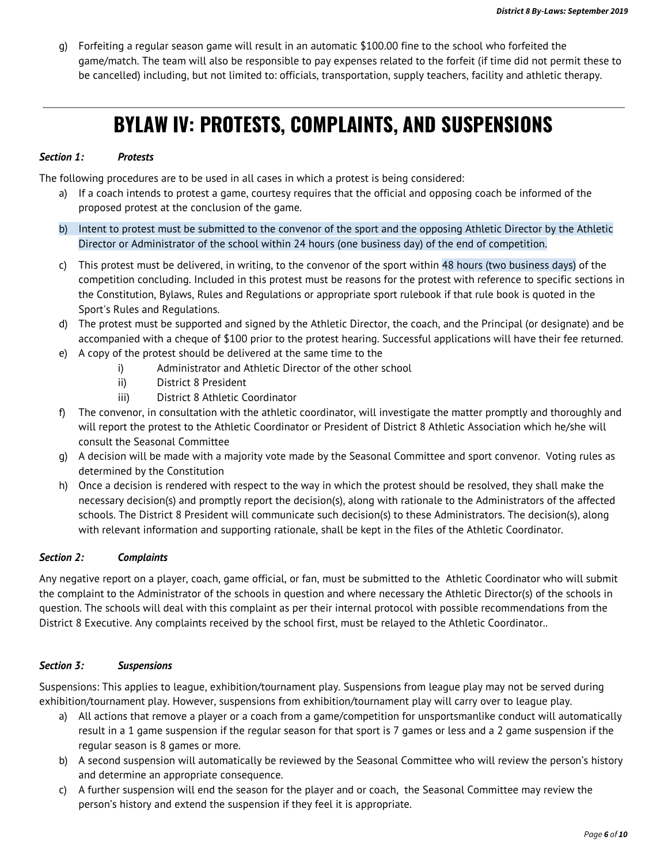g) Forfeiting a regular season game will result in an automatic \$100.00 fine to the school who forfeited the game/match. The team will also be responsible to pay expenses related to the forfeit (if time did not permit these to be cancelled) including, but not limited to: officials, transportation, supply teachers, facility and athletic therapy.

# **BYLAW IV: PROTESTS, COMPLAINTS, AND SUSPENSIONS**

#### *Section 1: Protests*

The following procedures are to be used in all cases in which a protest is being considered:

- a) If a coach intends to protest a game, courtesy requires that the official and opposing coach be informed of the proposed protest at the conclusion of the game.
- b) Intent to protest must be submitted to the convenor of the sport and the opposing Athletic Director by the Athletic Director or Administrator of the school within 24 hours (one business day) of the end of competition.
- c) This protest must be delivered, in writing, to the convenor of the sport within 48 hours (two business days) of the competition concluding. Included in this protest must be reasons for the protest with reference to specific sections in the Constitution, Bylaws, Rules and Regulations or appropriate sport rulebook if that rule book is quoted in the Sport's Rules and Regulations.
- d) The protest must be supported and signed by the Athletic Director, the coach, and the Principal (or designate) and be accompanied with a cheque of \$100 prior to the protest hearing. Successful applications will have their fee returned.
- e) A copy of the protest should be delivered at the same time to the
	- i) Administrator and Athletic Director of the other school
	- ii) District 8 President
	- iii) District 8 Athletic Coordinator
- f) The convenor, in consultation with the athletic coordinator, will investigate the matter promptly and thoroughly and will report the protest to the Athletic Coordinator or President of District 8 Athletic Association which he/she will consult the Seasonal Committee
- g) A decision will be made with a majority vote made by the Seasonal Committee and sport convenor. Voting rules as determined by the Constitution
- h) Once a decision is rendered with respect to the way in which the protest should be resolved, they shall make the necessary decision(s) and promptly report the decision(s), along with rationale to the Administrators of the affected schools. The District 8 President will communicate such decision(s) to these Administrators. The decision(s), along with relevant information and supporting rationale, shall be kept in the files of the Athletic Coordinator.

### *Section 2: Complaints*

Any negative report on a player, coach, game official, or fan, must be submitted to the Athletic Coordinator who will submit the complaint to the Administrator of the schools in question and where necessary the Athletic Director(s) of the schools in question. The schools will deal with this complaint as per their internal protocol with possible recommendations from the District 8 Executive. Any complaints received by the school first, must be relayed to the Athletic Coordinator..

### *Section 3: Suspensions*

Suspensions: This applies to league, exhibition/tournament play. Suspensions from league play may not be served during exhibition/tournament play. However, suspensions from exhibition/tournament play will carry over to league play.

- a) All actions that remove a player or a coach from a game/competition for unsportsmanlike conduct will automatically result in a 1 game suspension if the regular season for that sport is 7 games or less and a 2 game suspension if the regular season is 8 games or more.
- b) A second suspension will automatically be reviewed by the Seasonal Committee who will review the person's history and determine an appropriate consequence.
- c) A further suspension will end the season for the player and or coach, the Seasonal Committee may review the person's history and extend the suspension if they feel it is appropriate.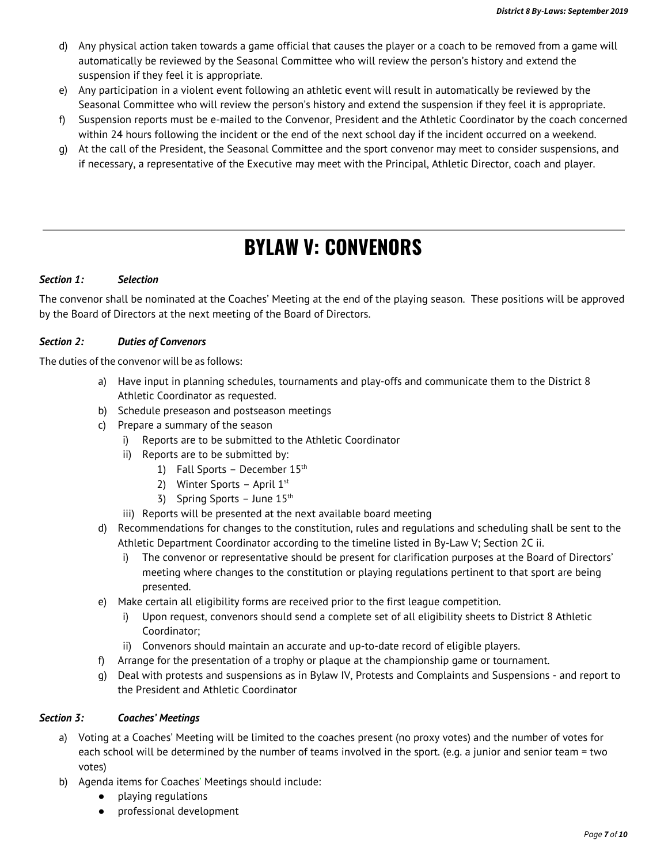- d) Any physical action taken towards a game official that causes the player or a coach to be removed from a game will automatically be reviewed by the Seasonal Committee who will review the person's history and extend the suspension if they feel it is appropriate.
- e) Any participation in a violent event following an athletic event will result in automatically be reviewed by the Seasonal Committee who will review the person's history and extend the suspension if they feel it is appropriate.
- f) Suspension reports must be e-mailed to the Convenor, President and the Athletic Coordinator by the coach concerned within 24 hours following the incident or the end of the next school day if the incident occurred on a weekend.
- g) At the call of the President, the Seasonal Committee and the sport convenor may meet to consider suspensions, and if necessary, a representative of the Executive may meet with the Principal, Athletic Director, coach and player.

# **BYLAW V: CONVENORS**

### *Section 1: Selection*

The convenor shall be nominated at the Coaches' Meeting at the end of the playing season. These positions will be approved by the Board of Directors at the next meeting of the Board of Directors.

### *Section 2: Duties of Convenors*

The duties of the convenor will be as follows:

- a) Have input in planning schedules, tournaments and play-offs and communicate them to the District 8 Athletic Coordinator as requested.
- b) Schedule preseason and postseason meetings
- c) Prepare a summary of the season
	- i) Reports are to be submitted to the Athletic Coordinator
	- ii) Reports are to be submitted by:
		- 1) Fall Sports December  $15<sup>th</sup>$
		- 2) Winter Sports April  $1<sup>st</sup>$
		- 3) Spring Sports June  $15<sup>th</sup>$
	- iii) Reports will be presented at the next available board meeting
- d) Recommendations for changes to the constitution, rules and regulations and scheduling shall be sent to the Athletic Department Coordinator according to the timeline listed in By-Law V; Section 2C ii.
	- i) The convenor or representative should be present for clarification purposes at the Board of Directors' meeting where changes to the constitution or playing regulations pertinent to that sport are being presented.
- e) Make certain all eligibility forms are received prior to the first league competition.
	- i) Upon request, convenors should send a complete set of all eligibility sheets to District 8 Athletic Coordinator;
	- ii) Convenors should maintain an accurate and up-to-date record of eligible players.
- f) Arrange for the presentation of a trophy or plaque at the championship game or tournament.
- g) Deal with protests and suspensions as in Bylaw IV, Protests and Complaints and Suspensions and report to the President and Athletic Coordinator

### *Section 3: Coaches' Meetings*

- a) Voting at a Coaches' Meeting will be limited to the coaches present (no proxy votes) and the number of votes for each school will be determined by the number of teams involved in the sport. (e.g. a junior and senior team = two votes)
- b) Agenda items for Coaches' Meetings should include:
	- playing regulations
	- professional development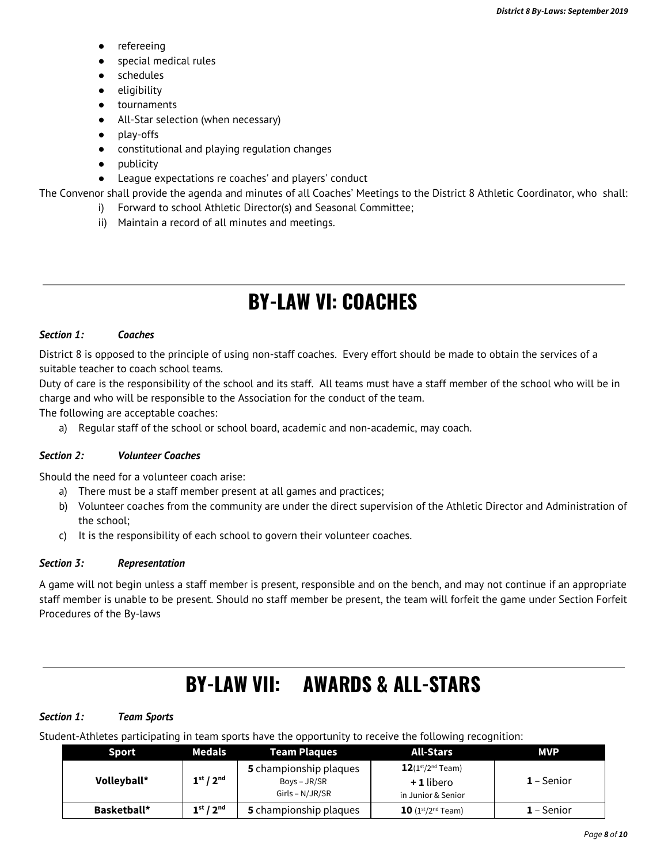- refereeing
- special medical rules
- schedules
- eligibility
- tournaments
- All-Star selection (when necessary)
- play-offs
- constitutional and playing regulation changes
- publicity
- League expectations re coaches' and players' conduct

The Convenor shall provide the agenda and minutes of all Coaches' Meetings to the District 8 Athletic Coordinator, who shall:

- i) Forward to school Athletic Director(s) and Seasonal Committee;
	- ii) Maintain a record of all minutes and meetings.

# **BY-LAW VI: COACHES**

#### *Section 1: Coaches*

District 8 is opposed to the principle of using non-staff coaches. Every effort should be made to obtain the services of a suitable teacher to coach school teams.

Duty of care is the responsibility of the school and its staff. All teams must have a staff member of the school who will be in charge and who will be responsible to the Association for the conduct of the team.

The following are acceptable coaches:

a) Regular staff of the school or school board, academic and non-academic, may coach.

### *Section 2: Volunteer Coaches*

Should the need for a volunteer coach arise:

- a) There must be a staff member present at all games and practices;
- b) Volunteer coaches from the community are under the direct supervision of the Athletic Director and Administration of the school;
- c) It is the responsibility of each school to govern their volunteer coaches.

### *Section 3: Representation*

A game will not begin unless a staff member is present, responsible and on the bench, and may not continue if an appropriate staff member is unable to be present. Should no staff member be present, the team will forfeit the game under Section Forfeit Procedures of the By-laws

# **BY-LAW VII: AWARDS & ALL-STARS**

#### *Section 1: Team Sports*

Student-Athletes participating in team sports have the opportunity to receive the following recognition:

| Sport       | Medals                            | Team Plaques                                                | <b>All-Stars</b>                                              | <b>MVP</b>   |
|-------------|-----------------------------------|-------------------------------------------------------------|---------------------------------------------------------------|--------------|
| Volleyball* | 1 <sup>st</sup> / 2 <sup>nd</sup> | 5 championship plaques<br>Boys – JR/SR<br>$Girls - N/JR/SR$ | $12(1^{st}/2^{nd}$ Team)<br>$+1$ libero<br>in Junior & Senior | $1 -$ Senior |
| Basketball* | 1 <sup>st</sup> / 2 <sup>nd</sup> | 5 championship plaques                                      | <b>10</b> ( $1^{\text{st}}$ /2 <sup>nd</sup> Team)            | $1 -$ Senior |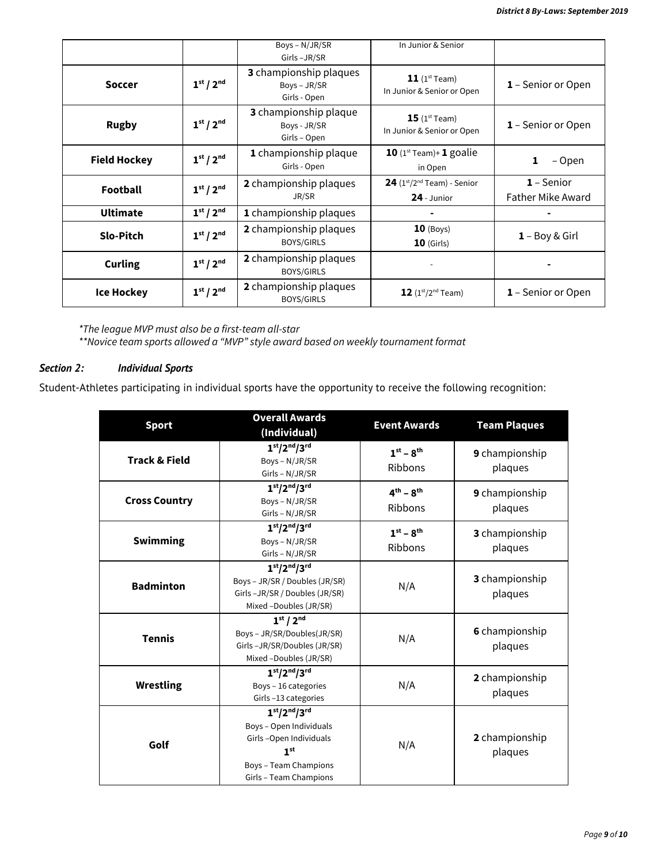|                     |                                   | Boys - N/JR/SR<br>Girls-JR/SR                          | In Junior & Senior                                              |                                          |
|---------------------|-----------------------------------|--------------------------------------------------------|-----------------------------------------------------------------|------------------------------------------|
| <b>Soccer</b>       | 1 <sup>st</sup> / 2 <sup>nd</sup> | 3 championship plaques<br>Boys - JR/SR<br>Girls - Open | <b>11</b> ( $1^{\text{st}}$ Team)<br>In Junior & Senior or Open | <b>1</b> – Senior or Open                |
| <b>Rugby</b>        | 1 <sup>st</sup> / 2 <sup>nd</sup> | 3 championship plaque<br>Boys - JR/SR<br>Girls - Open  | $15$ (1st Team)<br>In Junior & Senior or Open                   | <b>1</b> – Senior or Open                |
| <b>Field Hockey</b> | 1 <sup>st</sup> / 2 <sup>nd</sup> | 1 championship plaque<br>Girls - Open                  | 10 $(1^{st}$ Team)+ 1 goalie<br>in Open                         | 1<br>– Open                              |
| <b>Football</b>     | 1 <sup>st</sup> / 2 <sup>nd</sup> | 2 championship plaques<br>JR/SR                        | $24$ (1st/2 <sup>nd</sup> Team) - Senior<br>24 - Junior         | $1 -$ Senior<br><b>Father Mike Award</b> |
| <b>Ultimate</b>     | 1 <sup>st</sup> / 2 <sup>nd</sup> | <b>1</b> championship plaques                          |                                                                 |                                          |
| <b>Slo-Pitch</b>    | 1 <sup>st</sup> / 2 <sup>nd</sup> | 2 championship plaques<br><b>BOYS/GIRLS</b>            | $10$ (Boys)<br>$10$ (Girls)                                     | $1 - Boy & Girl$                         |
| <b>Curling</b>      | 1 <sup>st</sup> / 2 <sup>nd</sup> | 2 championship plaques<br><b>BOYS/GIRLS</b>            |                                                                 |                                          |
| <b>Ice Hockey</b>   | 1 <sup>st</sup> / 2 <sup>nd</sup> | 2 championship plaques<br><b>BOYS/GIRLS</b>            | $12 (1^{st}/2^{nd}$ Team)                                       | <b>1</b> – Senior or Open                |

*\*The league MVP must also be a first-team all-star \*\*Novice team sports allowed a "MVP" style award based on weekly tournament format*

### *Section 2: Individual Sports*

Student-Athletes participating in individual sports have the opportunity to receive the following recognition:

| <b>Sport</b>             | <b>Overall Awards</b><br>(Individual)                                                                                                    | <b>Event Awards</b>            | <b>Team Plaques</b>       |
|--------------------------|------------------------------------------------------------------------------------------------------------------------------------------|--------------------------------|---------------------------|
| <b>Track &amp; Field</b> | $1st/2nd/3rd$<br>Boys - N/JR/SR<br>Girls - N/JR/SR                                                                                       | $1^{st}$ – $8^{th}$<br>Ribbons | 9 championship<br>plaques |
| <b>Cross Country</b>     | $1st/2nd/3rd$<br>Boys - N/JR/SR<br>Girls - N/JR/SR                                                                                       | $4th - 8th$<br>Ribbons         | 9 championship<br>plaques |
| <b>Swimming</b>          | $1st/2nd/3rd$<br>Boys - N/JR/SR<br>Girls - N/JR/SR                                                                                       | $1^{st}$ – $8^{th}$<br>Ribbons | 3 championship<br>plaques |
| <b>Badminton</b>         | $1st/2nd/3rd$<br>Boys - JR/SR / Doubles (JR/SR)<br>Girls-JR/SR / Doubles (JR/SR)<br>Mixed -Doubles (JR/SR)                               | N/A                            | 3 championship<br>plaques |
| <b>Tennis</b>            | 1 <sup>st</sup> / 2 <sup>nd</sup><br>Boys - JR/SR/Doubles(JR/SR)<br>Girls-JR/SR/Doubles (JR/SR)<br>Mixed -Doubles (JR/SR)                | N/A                            | 6 championship<br>plaques |
| <b>Wrestling</b>         | $1st/2nd/3rd$<br>Boys - 16 categories<br>Girls-13 categories                                                                             | N/A                            | 2 championship<br>plaques |
| Golf                     | $1st/2nd/3rd$<br>Boys - Open Individuals<br>Girls-Open Individuals<br>1 <sup>st</sup><br>Boys - Team Champions<br>Girls - Team Champions | N/A                            | 2 championship<br>plaques |